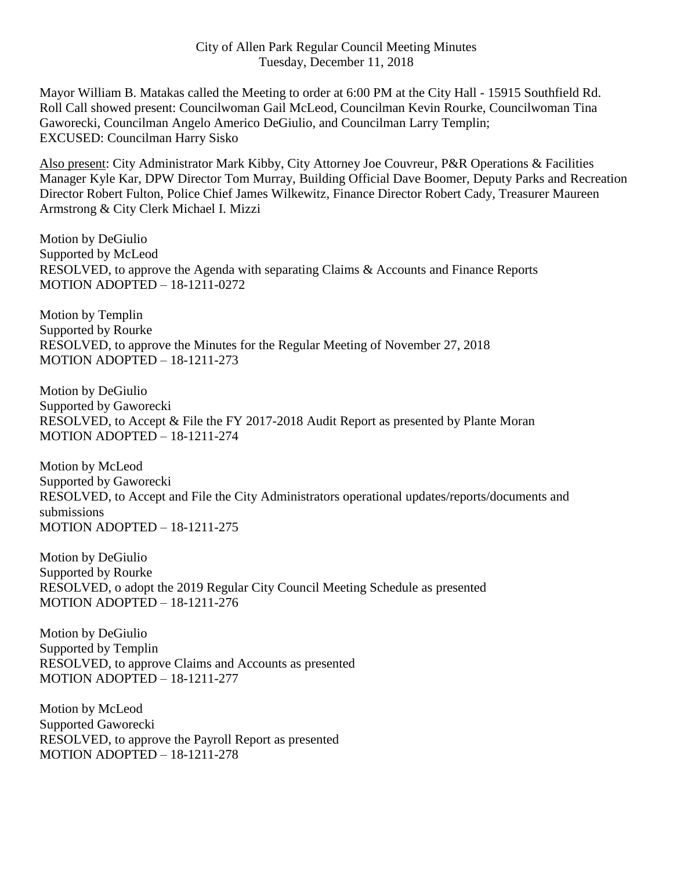Mayor William B. Matakas called the Meeting to order at 6:00 PM at the City Hall - 15915 Southfield Rd. Roll Call showed present: Councilwoman Gail McLeod, Councilman Kevin Rourke, Councilwoman Tina Gaworecki, Councilman Angelo Americo DeGiulio, and Councilman Larry Templin; EXCUSED: Councilman Harry Sisko

Also present: City Administrator Mark Kibby, City Attorney Joe Couvreur, P&R Operations & Facilities Manager Kyle Kar, DPW Director Tom Murray, Building Official Dave Boomer, Deputy Parks and Recreation Director Robert Fulton, Police Chief James Wilkewitz, Finance Director Robert Cady, Treasurer Maureen Armstrong & City Clerk Michael I. Mizzi

Motion by DeGiulio Supported by McLeod RESOLVED, to approve the Agenda with separating Claims & Accounts and Finance Reports MOTION ADOPTED – 18-1211-0272

Motion by Templin Supported by Rourke RESOLVED, to approve the Minutes for the Regular Meeting of November 27, 2018 MOTION ADOPTED – 18-1211-273

Motion by DeGiulio Supported by Gaworecki RESOLVED, to Accept & File the FY 2017-2018 Audit Report as presented by Plante Moran MOTION ADOPTED – 18-1211-274

Motion by McLeod Supported by Gaworecki RESOLVED, to Accept and File the City Administrators operational updates/reports/documents and submissions MOTION ADOPTED – 18-1211-275

Motion by DeGiulio Supported by Rourke RESOLVED, o adopt the 2019 Regular City Council Meeting Schedule as presented MOTION ADOPTED – 18-1211-276

Motion by DeGiulio Supported by Templin RESOLVED, to approve Claims and Accounts as presented MOTION ADOPTED – 18-1211-277

Motion by McLeod Supported Gaworecki RESOLVED, to approve the Payroll Report as presented MOTION ADOPTED – 18-1211-278